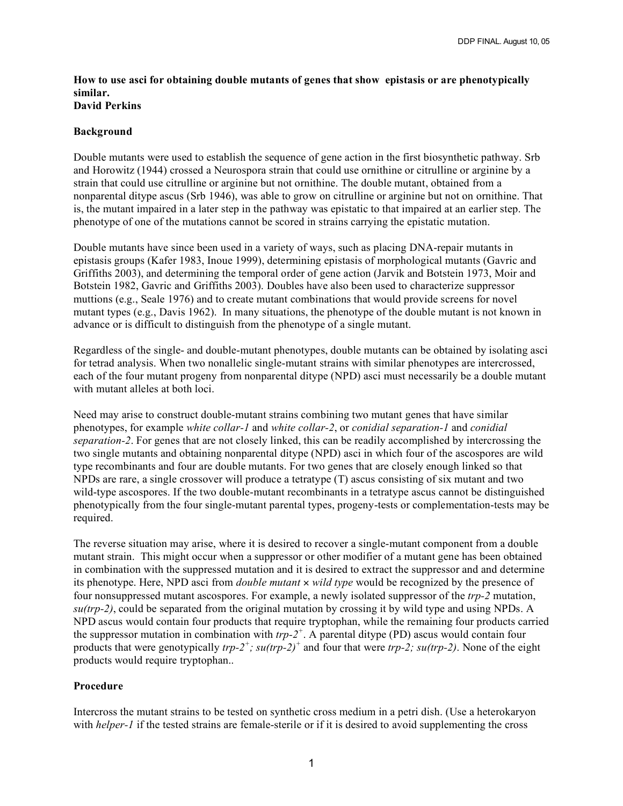## **How to use asci for obtaining double mutants of genes that show epistasis or are phenotypically similar. David Perkins**

## **Background**

Double mutants were used to establish the sequence of gene action in the first biosynthetic pathway. Srb and Horowitz (1944) crossed a Neurospora strain that could use ornithine or citrulline or arginine by a strain that could use citrulline or arginine but not ornithine. The double mutant, obtained from a nonparental ditype ascus (Srb 1946), was able to grow on citrulline or arginine but not on ornithine. That is, the mutant impaired in a later step in the pathway was epistatic to that impaired at an earlier step. The phenotype of one of the mutations cannot be scored in strains carrying the epistatic mutation.

Double mutants have since been used in a variety of ways, such as placing DNA-repair mutants in epistasis groups (Kafer 1983, Inoue 1999), determining epistasis of morphological mutants (Gavric and Griffiths 2003), and determining the temporal order of gene action (Jarvik and Botstein 1973, Moir and Botstein 1982, Gavric and Griffiths 2003). Doubles have also been used to characterize suppressor muttions (e.g., Seale 1976) and to create mutant combinations that would provide screens for novel mutant types (e.g., Davis 1962). In many situations, the phenotype of the double mutant is not known in advance or is difficult to distinguish from the phenotype of a single mutant.

Regardless of the single- and double-mutant phenotypes, double mutants can be obtained by isolating asci for tetrad analysis. When two nonallelic single-mutant strains with similar phenotypes are intercrossed, each of the four mutant progeny from nonparental ditype (NPD) asci must necessarily be a double mutant with mutant alleles at both loci.

Need may arise to construct double-mutant strains combining two mutant genes that have similar phenotypes, for example *white collar-1* and *white collar-2*, or *conidial separation-1* and *conidial separation-2*. For genes that are not closely linked, this can be readily accomplished by intercrossing the two single mutants and obtaining nonparental ditype (NPD) asci in which four of the ascospores are wild type recombinants and four are double mutants. For two genes that are closely enough linked so that NPDs are rare, a single crossover will produce a tetratype (T) ascus consisting of six mutant and two wild-type ascospores. If the two double-mutant recombinants in a tetratype ascus cannot be distinguished phenotypically from the four single-mutant parental types, progeny-tests or complementation-tests may be required.

The reverse situation may arise, where it is desired to recover a single-mutant component from a double mutant strain. This might occur when a suppressor or other modifier of a mutant gene has been obtained in combination with the suppressed mutation and it is desired to extract the suppressor and and determine its phenotype. Here, NPD asci from *double mutant* × *wild type* would be recognized by the presence of four nonsuppressed mutant ascospores. For example, a newly isolated suppressor of the *trp-2* mutation, *su(trp-2)*, could be separated from the original mutation by crossing it by wild type and using NPDs. A NPD ascus would contain four products that require tryptophan, while the remaining four products carried the suppressor mutation in combination with  $trp-2^+$ . A parental ditype (PD) ascus would contain four products that were genotypically *trp-2<sup>+</sup> ; su(trp-2) <sup>+</sup>* and four that were *trp-2; su(trp-2)*. None of the eight products would require tryptophan..

## **Procedure**

Intercross the mutant strains to be tested on synthetic cross medium in a petri dish. (Use a heterokaryon with *helper-1* if the tested strains are female-sterile or if it is desired to avoid supplementing the cross